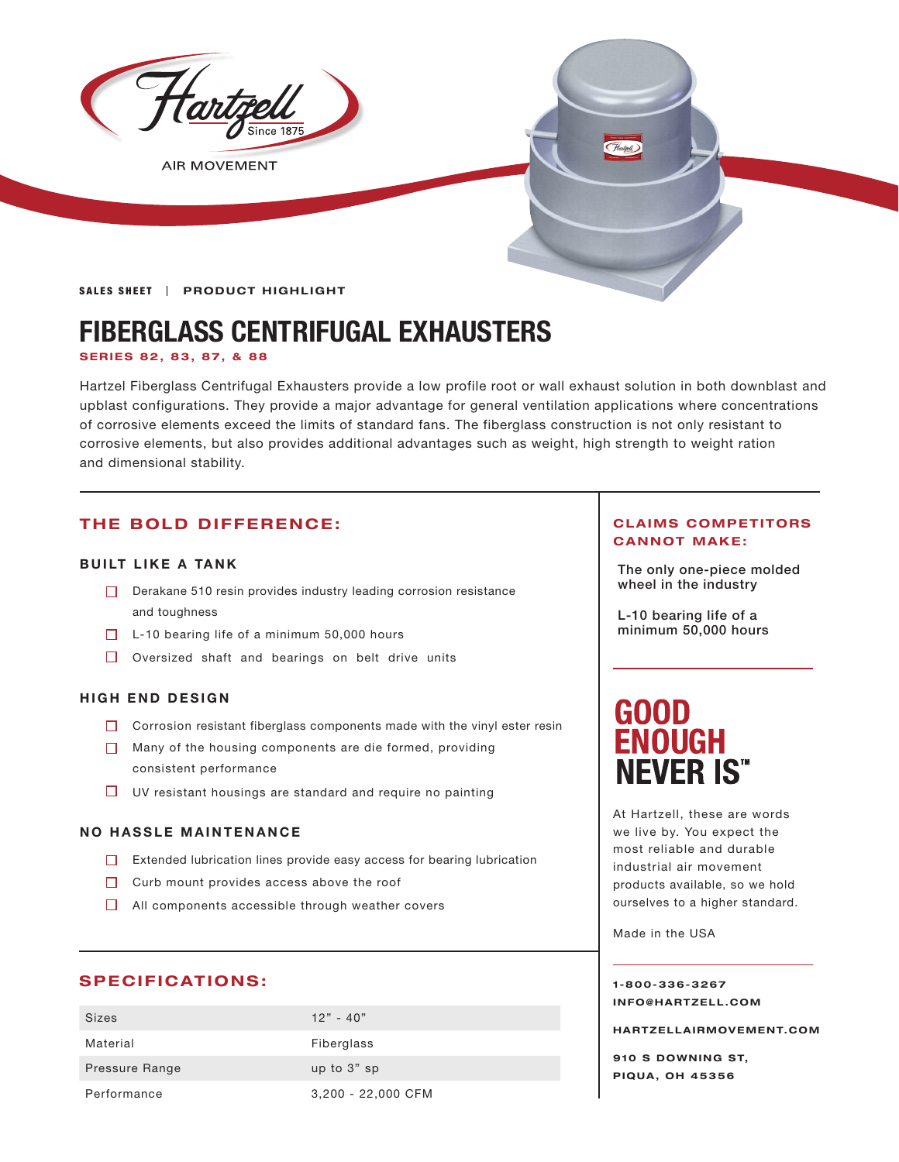

**AIR MOVEMENT** 

**SALES SHEET | PRODUCT HIGHLIGHT** 

# **FIBERGLASS CENTRIFUGAL EXHAUSTERS**

### **SERIES 82, 83, 87, & 88**

Hartzel Fiberglass Centrifugal Exhausters provide a low profile root or wall exhaust solution in both downblast and upblast configurations. They provide a major advantage for general ventilation applications where concentrations of corrosive elements exceed the limits of standard fans. The fiberglass construction is not only resistant to corrosive elements, but also provides additional advantages such as weight, high strength to weight ration and dimensional stability.

# **THE BOLD DIFFERENCE:**

## **BUILT LIKE A TANK**

- $\Box$  Derakane 510 resin provides industry leading corrosion resistance **Netwom Number** wheel in the industry and toughness
- $\Box$  L-10 bearing life of a minimum 50,000 hours
- $\Box$  Oversized shaft and bearings on belt drive units

# **HIGH END DESIGN**

- □ Corrosion resistant fiberglass components made with the vinyl ester resin
- Many of the housing components are die formed, providing consistent performance
- $\Box$  UV resistant housings are standard and require no painting

### **NO HASSLE MAINTENANCE**

- $\Box$  Extended lubrication lines provide easy access for bearing lubrication
- $\Box$  Curb mount provides access above the roof
- $\Box$  All components accessible through weather covers

# **SPECIFICATIONS:**

| <b>Sizes</b>   | $12" - 40"$        |
|----------------|--------------------|
| Material       | Fiberglass         |
| Pressure Range | up to 3" sp        |
| Performance    | 3,200 - 22,000 CFM |

### **CLAIMS COMPETITORS CANNOT MAKE:**

The only one-piece molded

L-10 bearing life of a minimum 50,000 hours

# **GOOD ENOUGH NEVER IS"**

At Hartzell, these are words we live by. You expect the most reliable and durable industrial air movement products available, so we hold ourselves to a higher standard.

Made in the USA

**1-800-336-3267 I N F O @ H A R T Z E L L . C OM** 

**HARTZELLA IRMOVEMENT.COM**

**910 S DOWNING ST, PIQUA, OH 45356**